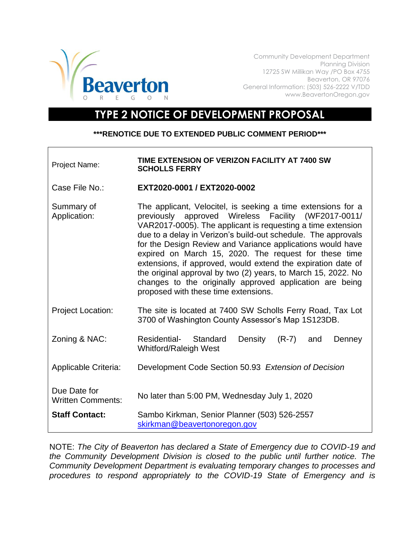

Community Development Department Planning Division 12725 SW Millikan Way /PO Box 4755 Beaverton, OR 97076 General Information: (503) 526-2222 V/TDD www.BeavertonOregon.gov

## **TYPE 2 NOTICE OF DEVELOPMENT PROPOSAL**

## **\*\*\*RENOTICE DUE TO EXTENDED PUBLIC COMMENT PERIOD\*\*\***

| <b>Project Name:</b>                     | TIME EXTENSION OF VERIZON FACILITY AT 7400 SW<br><b>SCHOLLS FERRY</b>                                                                                                                                                                                                                                                                                                                                                                                                                                                                                                                                              |
|------------------------------------------|--------------------------------------------------------------------------------------------------------------------------------------------------------------------------------------------------------------------------------------------------------------------------------------------------------------------------------------------------------------------------------------------------------------------------------------------------------------------------------------------------------------------------------------------------------------------------------------------------------------------|
| Case File No.:                           | EXT2020-0001 / EXT2020-0002                                                                                                                                                                                                                                                                                                                                                                                                                                                                                                                                                                                        |
| Summary of<br>Application:               | The applicant, Velocitel, is seeking a time extensions for a<br>approved Wireless Facility (WF2017-0011/<br>previously<br>VAR2017-0005). The applicant is requesting a time extension<br>due to a delay in Verizon's build-out schedule. The approvals<br>for the Design Review and Variance applications would have<br>expired on March 15, 2020. The request for these time<br>extensions, if approved, would extend the expiration date of<br>the original approval by two (2) years, to March 15, 2022. No<br>changes to the originally approved application are being<br>proposed with these time extensions. |
| <b>Project Location:</b>                 | The site is located at 7400 SW Scholls Ferry Road, Tax Lot<br>3700 of Washington County Assessor's Map 1S123DB.                                                                                                                                                                                                                                                                                                                                                                                                                                                                                                    |
| Zoning & NAC:                            | Residential-<br>Standard<br>Density<br>$(R-7)$<br>and<br>Denney<br><b>Whitford/Raleigh West</b>                                                                                                                                                                                                                                                                                                                                                                                                                                                                                                                    |
| Applicable Criteria:                     | Development Code Section 50.93 Extension of Decision                                                                                                                                                                                                                                                                                                                                                                                                                                                                                                                                                               |
| Due Date for<br><b>Written Comments:</b> | No later than 5:00 PM, Wednesday July 1, 2020                                                                                                                                                                                                                                                                                                                                                                                                                                                                                                                                                                      |
| <b>Staff Contact:</b>                    | Sambo Kirkman, Senior Planner (503) 526-2557<br>skirkman@beavertonoregon.gov                                                                                                                                                                                                                                                                                                                                                                                                                                                                                                                                       |

NOTE: *The City of Beaverton has declared a State of Emergency due to COVID-19 and the Community Development Division is closed to the public until further notice. The Community Development Department is evaluating temporary changes to processes and procedures to respond appropriately to the COVID-19 State of Emergency and is*